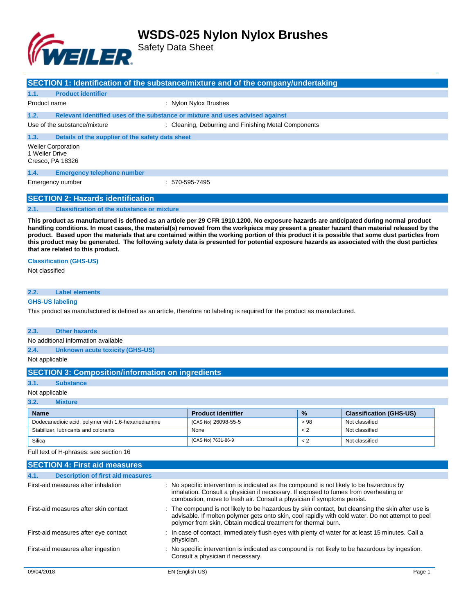

Safety Data Sheet

|                                                                                                                                                                                                                                                                                                                                                                                                                                                                                                                                                                                                                       |                                                   | SECTION 1: Identification of the substance/mixture and of the company/undertaking |  |  |  |
|-----------------------------------------------------------------------------------------------------------------------------------------------------------------------------------------------------------------------------------------------------------------------------------------------------------------------------------------------------------------------------------------------------------------------------------------------------------------------------------------------------------------------------------------------------------------------------------------------------------------------|---------------------------------------------------|-----------------------------------------------------------------------------------|--|--|--|
| 1.1.                                                                                                                                                                                                                                                                                                                                                                                                                                                                                                                                                                                                                  | <b>Product identifier</b>                         |                                                                                   |  |  |  |
| Product name                                                                                                                                                                                                                                                                                                                                                                                                                                                                                                                                                                                                          |                                                   | : Nylon Nylox Brushes                                                             |  |  |  |
| 1.2.                                                                                                                                                                                                                                                                                                                                                                                                                                                                                                                                                                                                                  |                                                   | Relevant identified uses of the substance or mixture and uses advised against     |  |  |  |
|                                                                                                                                                                                                                                                                                                                                                                                                                                                                                                                                                                                                                       | Use of the substance/mixture                      | : Cleaning, Deburring and Finishing Metal Components                              |  |  |  |
| 1.3.                                                                                                                                                                                                                                                                                                                                                                                                                                                                                                                                                                                                                  | Details of the supplier of the safety data sheet  |                                                                                   |  |  |  |
| 1 Weiler Drive                                                                                                                                                                                                                                                                                                                                                                                                                                                                                                                                                                                                        | <b>Weiler Corporation</b><br>Cresco, PA 18326     |                                                                                   |  |  |  |
| 1.4.                                                                                                                                                                                                                                                                                                                                                                                                                                                                                                                                                                                                                  | <b>Emergency telephone number</b>                 |                                                                                   |  |  |  |
|                                                                                                                                                                                                                                                                                                                                                                                                                                                                                                                                                                                                                       | Emergency number                                  | $: 570 - 595 - 7495$                                                              |  |  |  |
|                                                                                                                                                                                                                                                                                                                                                                                                                                                                                                                                                                                                                       | <b>SECTION 2: Hazards identification</b>          |                                                                                   |  |  |  |
| 2.1.                                                                                                                                                                                                                                                                                                                                                                                                                                                                                                                                                                                                                  | <b>Classification of the substance or mixture</b> |                                                                                   |  |  |  |
| This product as manufactured is defined as an article per 29 CFR 1910.1200. No exposure hazards are anticipated during normal product<br>handling conditions. In most cases, the material(s) removed from the workpiece may present a greater hazard than material released by the<br>product. Based upon the materials that are contained within the working portion of this product it is possible that some dust particles from<br>this product may be generated. The following safety data is presented for potential exposure hazards as associated with the dust particles<br>that are related to this product. |                                                   |                                                                                   |  |  |  |
| Not classified                                                                                                                                                                                                                                                                                                                                                                                                                                                                                                                                                                                                        | <b>Classification (GHS-US)</b>                    |                                                                                   |  |  |  |

### **2.2. Label elements**

#### **GHS-US labeling**

This product as manufactured is defined as an article, therefore no labeling is required for the product as manufactured.

#### **2.3. Other hazards**

No additional information available

**2.4. Unknown acute toxicity (GHS-US)**

Not applicable

### **SECTION 3: Composition/information on ingredients**

**3.1. Substance**

#### Not applicable

**3.2. Mixture**

| <b>Name</b>                                        | <b>Product identifier</b> | $\frac{9}{6}$ | <b>Classification (GHS-US)</b> |
|----------------------------------------------------|---------------------------|---------------|--------------------------------|
| Dodecanedioic acid, polymer with 1,6-hexanediamine | (CAS No) 26098-55-5       | >98           | Not classified                 |
| Stabilizer, lubricants and colorants               | None                      | $\lt 2$       | Not classified                 |
| Silica                                             | (CAS No) 7631-86-9        | $\lt 2$       | Not classified                 |

Full text of H-phrases: see section 16

|            | <b>SECTION 4: First aid measures</b>     |                                                                                                                                                                                                                                                                         |        |
|------------|------------------------------------------|-------------------------------------------------------------------------------------------------------------------------------------------------------------------------------------------------------------------------------------------------------------------------|--------|
| 4.1.       | <b>Description of first aid measures</b> |                                                                                                                                                                                                                                                                         |        |
|            | First-aid measures after inhalation      | : No specific intervention is indicated as the compound is not likely to be hazardous by<br>inhalation. Consult a physician if necessary. If exposed to fumes from overheating or<br>combustion, move to fresh air. Consult a physician if symptoms persist.            |        |
|            | First-aid measures after skin contact    | : The compound is not likely to be hazardous by skin contact, but cleansing the skin after use is<br>advisable. If molten polymer gets onto skin, cool rapidly with cold water. Do not attempt to peel<br>polymer from skin. Obtain medical treatment for thermal burn. |        |
|            | First-aid measures after eye contact     | : In case of contact, immediately flush eyes with plenty of water for at least 15 minutes. Call a<br>physician.                                                                                                                                                         |        |
|            | First-aid measures after ingestion       | : No specific intervention is indicated as compound is not likely to be hazardous by ingestion.<br>Consult a physician if necessary.                                                                                                                                    |        |
| 09/04/2018 |                                          | EN (English US)                                                                                                                                                                                                                                                         | Page 1 |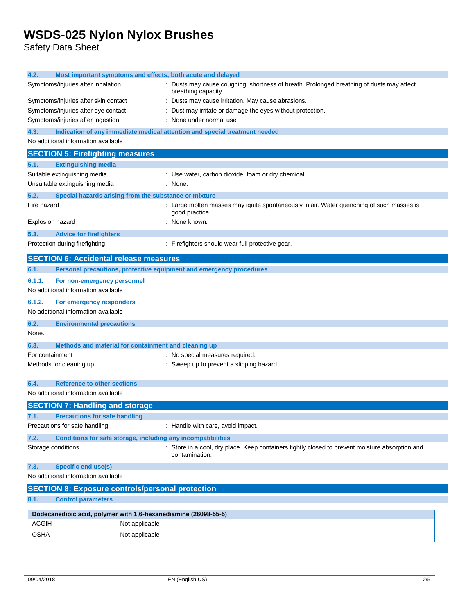Safety Data Sheet

| 4.2.                                                                        |                                                                                                                                                     |                | Most important symptoms and effects, both acute and delayed                                                |  |
|-----------------------------------------------------------------------------|-----------------------------------------------------------------------------------------------------------------------------------------------------|----------------|------------------------------------------------------------------------------------------------------------|--|
|                                                                             | Symptoms/injuries after inhalation<br>Dusts may cause coughing, shortness of breath. Prolonged breathing of dusts may affect<br>breathing capacity. |                |                                                                                                            |  |
| Symptoms/injuries after skin contact                                        |                                                                                                                                                     |                | Dusts may cause irritation. May cause abrasions.                                                           |  |
| Symptoms/injuries after eye contact                                         |                                                                                                                                                     |                | Dust may irritate or damage the eyes without protection.                                                   |  |
|                                                                             | Symptoms/injuries after ingestion                                                                                                                   |                | : None under normal use.                                                                                   |  |
| 4.3.                                                                        |                                                                                                                                                     |                | Indication of any immediate medical attention and special treatment needed                                 |  |
|                                                                             | No additional information available                                                                                                                 |                |                                                                                                            |  |
|                                                                             | <b>SECTION 5: Firefighting measures</b>                                                                                                             |                |                                                                                                            |  |
| 5.1.                                                                        | <b>Extinguishing media</b>                                                                                                                          |                |                                                                                                            |  |
|                                                                             | Suitable extinguishing media                                                                                                                        |                | : Use water, carbon dioxide, foam or dry chemical.                                                         |  |
|                                                                             | Unsuitable extinguishing media                                                                                                                      |                | : None.                                                                                                    |  |
| 5.2.                                                                        | Special hazards arising from the substance or mixture                                                                                               |                |                                                                                                            |  |
| Fire hazard                                                                 |                                                                                                                                                     |                | : Large molten masses may ignite spontaneously in air. Water quenching of such masses is<br>good practice. |  |
|                                                                             | Explosion hazard                                                                                                                                    |                | None known.                                                                                                |  |
| 5.3.                                                                        | <b>Advice for firefighters</b>                                                                                                                      |                |                                                                                                            |  |
|                                                                             | Protection during firefighting                                                                                                                      |                | : Firefighters should wear full protective gear.                                                           |  |
|                                                                             | <b>SECTION 6: Accidental release measures</b>                                                                                                       |                |                                                                                                            |  |
| 6.1.                                                                        |                                                                                                                                                     |                | Personal precautions, protective equipment and emergency procedures                                        |  |
| 6.1.1.                                                                      | For non-emergency personnel                                                                                                                         |                |                                                                                                            |  |
|                                                                             | No additional information available                                                                                                                 |                |                                                                                                            |  |
| 6.1.2.                                                                      | For emergency responders                                                                                                                            |                |                                                                                                            |  |
|                                                                             | No additional information available                                                                                                                 |                |                                                                                                            |  |
| 6.2.                                                                        | <b>Environmental precautions</b>                                                                                                                    |                |                                                                                                            |  |
| None.                                                                       |                                                                                                                                                     |                |                                                                                                            |  |
| 6.3.                                                                        | Methods and material for containment and cleaning up                                                                                                |                |                                                                                                            |  |
| For containment                                                             |                                                                                                                                                     |                | : No special measures required.                                                                            |  |
|                                                                             | Methods for cleaning up                                                                                                                             |                | : Sweep up to prevent a slipping hazard.                                                                   |  |
|                                                                             |                                                                                                                                                     |                |                                                                                                            |  |
| 6.4.                                                                        | <b>Reference to other sections</b>                                                                                                                  |                |                                                                                                            |  |
|                                                                             | No additional information available                                                                                                                 |                |                                                                                                            |  |
|                                                                             | <b>SECTION 7: Handling and storage</b>                                                                                                              |                |                                                                                                            |  |
| 7.1                                                                         | <b>Precautions for safe handling</b>                                                                                                                |                |                                                                                                            |  |
|                                                                             | Precautions for safe handling                                                                                                                       |                | : Handle with care, avoid impact.                                                                          |  |
| <b>Conditions for safe storage, including any incompatibilities</b><br>7.2. |                                                                                                                                                     |                |                                                                                                            |  |
|                                                                             | Storage conditions<br>Store in a cool, dry place. Keep containers tightly closed to prevent moisture absorption and<br>contamination.               |                |                                                                                                            |  |
| <b>Specific end use(s)</b><br>7.3.                                          |                                                                                                                                                     |                |                                                                                                            |  |
| No additional information available                                         |                                                                                                                                                     |                |                                                                                                            |  |
| <b>SECTION 8: Exposure controls/personal protection</b>                     |                                                                                                                                                     |                |                                                                                                            |  |
| <b>Control parameters</b><br>8.1.                                           |                                                                                                                                                     |                |                                                                                                            |  |
| Dodecanedioic acid, polymer with 1,6-hexanediamine (26098-55-5)             |                                                                                                                                                     |                |                                                                                                            |  |
| <b>ACGIH</b>                                                                |                                                                                                                                                     | Not applicable |                                                                                                            |  |
| OSHA                                                                        |                                                                                                                                                     | Not applicable |                                                                                                            |  |
|                                                                             |                                                                                                                                                     |                |                                                                                                            |  |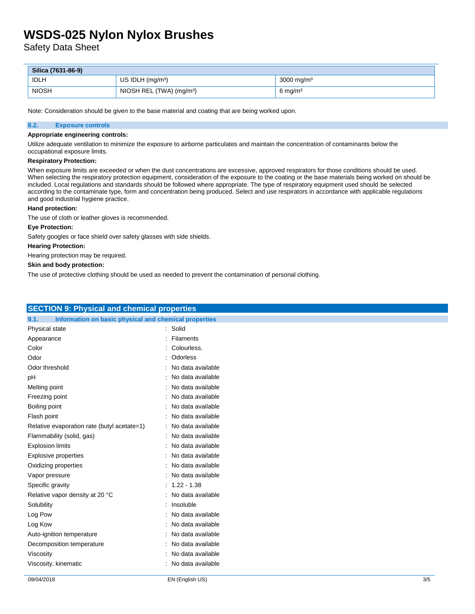Safety Data Sheet

| Silica (7631-86-9) |                                      |                          |  |
|--------------------|--------------------------------------|--------------------------|--|
| <b>IDLH</b>        | US IDLH $(mg/m3)$                    | $3000 \,\mathrm{mg/m^3}$ |  |
| <b>NIOSH</b>       | NIOSH REL (TWA) (mg/m <sup>3</sup> ) | $6 \text{ mg/m}^3$       |  |

Note: Consideration should be given to the base material and coating that are being worked upon.

#### **8.2. Exposure controls**

#### **Appropriate engineering controls:**

Utilize adequate ventilation to minimize the exposure to airborne particulates and maintain the concentration of contaminants below the occupational exposure limits.

#### **Respiratory Protection:**

When exposure limits are exceeded or when the dust concentrations are excessive, approved respirators for those conditions should be used. When selecting the respiratory protection equipment, consideration of the exposure to the coating or the base materials being worked on should be included. Local regulations and standards should be followed where appropriate. The type of respiratory equipment used should be selected according to the contaminate type, form and concentration being produced. Select and use respirators in accordance with applicable regulations and good industrial hygiene practice.

#### **Hand protection:**

The use of cloth or leather gloves is recommended.

#### **Eye Protection:**

Safety googles or face shield over safety glasses with side shields.

#### **Hearing Protection:**

Hearing protection may be required.

#### **Skin and body protection:**

The use of protective clothing should be used as needed to prevent the contamination of personal clothing.

| Information on basic physical and chemical properties<br>9.1.<br>: Solid<br>: Filaments<br>: Colourless.<br>: Odorless<br>: No data available<br>: No data available<br>: No data available<br>: No data available<br>: No data available<br>: No data available<br>: No data available<br>: No data available<br>: No data available<br>: No data available<br>: No data available<br>: No data available<br>$: 1.22 - 1.38$<br>: No data available<br>: Insoluble<br>: No data available<br>: No data available<br>: No data available<br>: No data available<br>: No data available<br>: No data available | <b>SECTION 9: Physical and chemical properties</b> |  |  |  |
|---------------------------------------------------------------------------------------------------------------------------------------------------------------------------------------------------------------------------------------------------------------------------------------------------------------------------------------------------------------------------------------------------------------------------------------------------------------------------------------------------------------------------------------------------------------------------------------------------------------|----------------------------------------------------|--|--|--|
|                                                                                                                                                                                                                                                                                                                                                                                                                                                                                                                                                                                                               |                                                    |  |  |  |
|                                                                                                                                                                                                                                                                                                                                                                                                                                                                                                                                                                                                               | Physical state                                     |  |  |  |
|                                                                                                                                                                                                                                                                                                                                                                                                                                                                                                                                                                                                               | Appearance                                         |  |  |  |
|                                                                                                                                                                                                                                                                                                                                                                                                                                                                                                                                                                                                               | Color                                              |  |  |  |
|                                                                                                                                                                                                                                                                                                                                                                                                                                                                                                                                                                                                               | Odor                                               |  |  |  |
|                                                                                                                                                                                                                                                                                                                                                                                                                                                                                                                                                                                                               | Odor threshold                                     |  |  |  |
|                                                                                                                                                                                                                                                                                                                                                                                                                                                                                                                                                                                                               | pH                                                 |  |  |  |
|                                                                                                                                                                                                                                                                                                                                                                                                                                                                                                                                                                                                               | Melting point                                      |  |  |  |
|                                                                                                                                                                                                                                                                                                                                                                                                                                                                                                                                                                                                               | Freezing point                                     |  |  |  |
|                                                                                                                                                                                                                                                                                                                                                                                                                                                                                                                                                                                                               | Boiling point                                      |  |  |  |
|                                                                                                                                                                                                                                                                                                                                                                                                                                                                                                                                                                                                               | Flash point                                        |  |  |  |
|                                                                                                                                                                                                                                                                                                                                                                                                                                                                                                                                                                                                               | Relative evaporation rate (butyl acetate=1)        |  |  |  |
|                                                                                                                                                                                                                                                                                                                                                                                                                                                                                                                                                                                                               | Flammability (solid, gas)                          |  |  |  |
|                                                                                                                                                                                                                                                                                                                                                                                                                                                                                                                                                                                                               | <b>Explosion limits</b>                            |  |  |  |
|                                                                                                                                                                                                                                                                                                                                                                                                                                                                                                                                                                                                               | Explosive properties                               |  |  |  |
|                                                                                                                                                                                                                                                                                                                                                                                                                                                                                                                                                                                                               | Oxidizing properties                               |  |  |  |
|                                                                                                                                                                                                                                                                                                                                                                                                                                                                                                                                                                                                               | Vapor pressure                                     |  |  |  |
|                                                                                                                                                                                                                                                                                                                                                                                                                                                                                                                                                                                                               | Specific gravity                                   |  |  |  |
|                                                                                                                                                                                                                                                                                                                                                                                                                                                                                                                                                                                                               | Relative vapor density at 20 °C                    |  |  |  |
|                                                                                                                                                                                                                                                                                                                                                                                                                                                                                                                                                                                                               | Solubility                                         |  |  |  |
|                                                                                                                                                                                                                                                                                                                                                                                                                                                                                                                                                                                                               | Log Pow                                            |  |  |  |
|                                                                                                                                                                                                                                                                                                                                                                                                                                                                                                                                                                                                               | Log Kow                                            |  |  |  |
|                                                                                                                                                                                                                                                                                                                                                                                                                                                                                                                                                                                                               | Auto-ignition temperature                          |  |  |  |
|                                                                                                                                                                                                                                                                                                                                                                                                                                                                                                                                                                                                               | Decomposition temperature                          |  |  |  |
|                                                                                                                                                                                                                                                                                                                                                                                                                                                                                                                                                                                                               | Viscosity                                          |  |  |  |
|                                                                                                                                                                                                                                                                                                                                                                                                                                                                                                                                                                                                               | Viscosity, kinematic                               |  |  |  |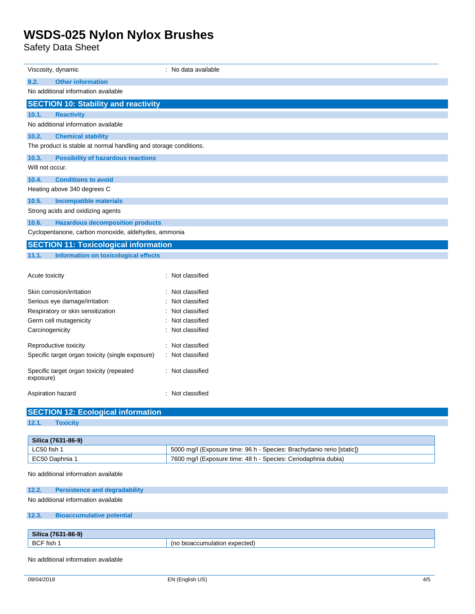Safety Data Sheet

| Viscosity, dynamic                                               | : No data available                                                   |  |  |  |
|------------------------------------------------------------------|-----------------------------------------------------------------------|--|--|--|
| 9.2.<br><b>Other information</b>                                 |                                                                       |  |  |  |
| No additional information available                              |                                                                       |  |  |  |
| <b>SECTION 10: Stability and reactivity</b>                      |                                                                       |  |  |  |
| 10.1.<br><b>Reactivity</b>                                       |                                                                       |  |  |  |
| No additional information available                              |                                                                       |  |  |  |
| 10.2.<br><b>Chemical stability</b>                               |                                                                       |  |  |  |
| The product is stable at normal handling and storage conditions. |                                                                       |  |  |  |
| 10.3.<br><b>Possibility of hazardous reactions</b>               |                                                                       |  |  |  |
| Will not occur.                                                  |                                                                       |  |  |  |
| 10.4.<br><b>Conditions to avoid</b>                              |                                                                       |  |  |  |
| Heating above 340 degrees C                                      |                                                                       |  |  |  |
| 10.5.<br><b>Incompatible materials</b>                           |                                                                       |  |  |  |
| Strong acids and oxidizing agents                                |                                                                       |  |  |  |
| 10.6.<br><b>Hazardous decomposition products</b>                 |                                                                       |  |  |  |
| Cyclopentanone, carbon monoxide, aldehydes, ammonia              |                                                                       |  |  |  |
| <b>SECTION 11: Toxicological information</b>                     |                                                                       |  |  |  |
| 11.1.<br><b>Information on toxicological effects</b>             |                                                                       |  |  |  |
| Acute toxicity                                                   | : Not classified                                                      |  |  |  |
| Skin corrosion/irritation                                        | : Not classified                                                      |  |  |  |
| Serious eye damage/irritation                                    | : Not classified                                                      |  |  |  |
| Respiratory or skin sensitization                                | : Not classified                                                      |  |  |  |
| Germ cell mutagenicity                                           | Not classified                                                        |  |  |  |
| Carcinogenicity                                                  | : Not classified                                                      |  |  |  |
| Reproductive toxicity                                            | : Not classified                                                      |  |  |  |
| Specific target organ toxicity (single exposure)                 | : Not classified                                                      |  |  |  |
| Specific target organ toxicity (repeated<br>exposure)            | : Not classified                                                      |  |  |  |
| Aspiration hazard                                                | : Not classified                                                      |  |  |  |
| <b>SECTION 12: Ecological information</b>                        |                                                                       |  |  |  |
| 12.1.<br><b>Toxicity</b>                                         |                                                                       |  |  |  |
|                                                                  |                                                                       |  |  |  |
| Silica (7631-86-9)                                               |                                                                       |  |  |  |
| LC50 fish 1                                                      | 5000 mg/l (Exposure time: 96 h - Species: Brachydanio rerio [static]) |  |  |  |
| EC50 Daphnia 1                                                   | 7600 mg/l (Exposure time: 48 h - Species: Ceriodaphnia dubia)         |  |  |  |
| No additional information available                              |                                                                       |  |  |  |
| 12.2.<br><b>Persistence and degradability</b>                    |                                                                       |  |  |  |
| No additional information available                              |                                                                       |  |  |  |
| 12.3.<br><b>Bioaccumulative potential</b>                        |                                                                       |  |  |  |
| Silica (7631-86-9)                                               |                                                                       |  |  |  |
| BCF fish 1                                                       | (no bioaccumulation expected)                                         |  |  |  |
|                                                                  |                                                                       |  |  |  |
| No additional information available                              |                                                                       |  |  |  |